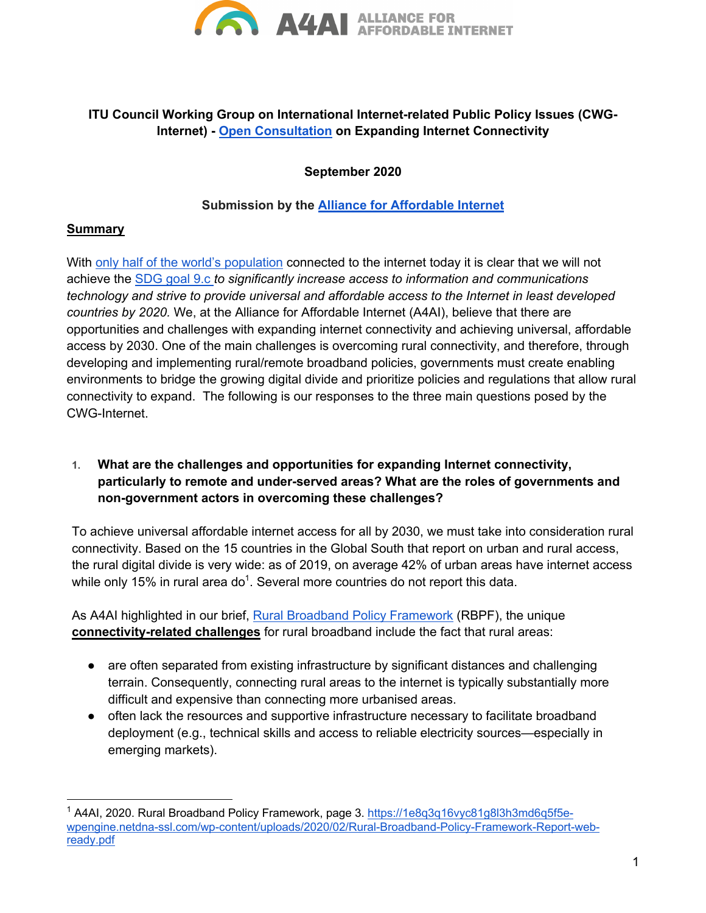

# **ITU Council Working Group on International Internet-related Public Policy Issues (CWG-Internet) - Open Consultation on Expanding Internet Connectivity**

**September 2020**

### **Submission by the Alliance for Affordable Internet**

#### **Summary**

With only half of the world's population connected to the internet today it is clear that we will not achieve the SDG goal 9.c *to significantly increase access to information and communications technology and strive to provide universal and affordable access to the Internet in least developed countries by 2020.* We, at the Alliance for Affordable Internet (A4AI), believe that there are opportunities and challenges with expanding internet connectivity and achieving universal, affordable access by 2030. One of the main challenges is overcoming rural connectivity, and therefore, through developing and implementing rural/remote broadband policies, governments must create enabling environments to bridge the growing digital divide and prioritize policies and regulations that allow rural connectivity to expand. The following is our responses to the three main questions posed by the CWG-Internet.

**1. What are the challenges and opportunities for expanding Internet connectivity, particularly to remote and under-served areas? What are the roles of governments and non-government actors in overcoming these challenges?**

To achieve universal affordable internet access for all by 2030, we must take into consideration rural connectivity. Based on the 15 countries in the Global South that report on urban and rural access, the rural digital divide is very wide: as of 2019, on average 42% of urban areas have internet access while only 15% in rural area do<sup>1</sup>. Several more countries do not report this data.

As A4AI highlighted in our brief, Rural Broadband Policy Framework (RBPF), the unique **connectivity-related challenges** for rural broadband include the fact that rural areas:

- are often separated from existing infrastructure by significant distances and challenging terrain. Consequently, connecting rural areas to the internet is typically substantially more difficult and expensive than connecting more urbanised areas.
- often lack the resources and supportive infrastructure necessary to facilitate broadband deployment (e.g., technical skills and access to reliable electricity sources—especially in emerging markets).

<sup>&</sup>lt;sup>1</sup> A4AI, 2020. Rural Broadband Policy Framework, page 3. https://1e8q3q16vyc81q8l3h3md6q5f5ewpengine.netdna-ssl.com/wp-content/uploads/2020/02/Rural-Broadband-Policy-Framework-Report-webready.pdf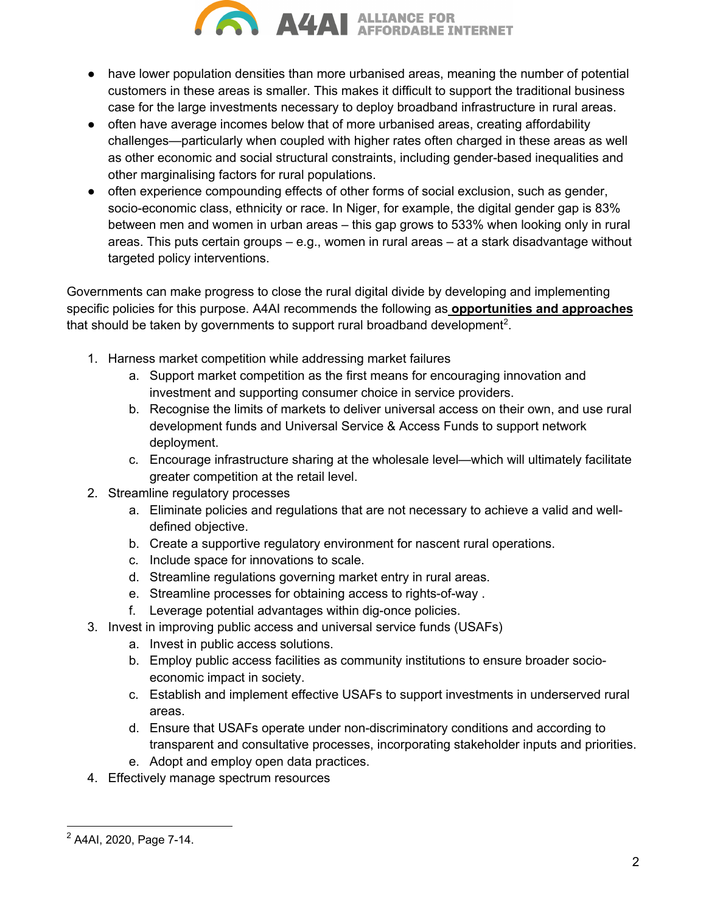

- have lower population densities than more urbanised areas, meaning the number of potential customers in these areas is smaller. This makes it difficult to support the traditional business case for the large investments necessary to deploy broadband infrastructure in rural areas.
- often have average incomes below that of more urbanised areas, creating affordability challenges—particularly when coupled with higher rates often charged in these areas as well as other economic and social structural constraints, including gender-based inequalities and other marginalising factors for rural populations.
- often experience compounding effects of other forms of social exclusion, such as gender, socio-economic class, ethnicity or race. In Niger, for example, the digital gender gap is 83% between men and women in urban areas – this gap grows to 533% when looking only in rural areas. This puts certain groups – e.g., women in rural areas – at a stark disadvantage without targeted policy interventions.

Governments can make progress to close the rural digital divide by developing and implementing specific policies for this purpose. A4AI recommends the following as **opportunities and approaches**  that should be taken by governments to support rural broadband development<sup>2</sup>.

- 1. Harness market competition while addressing market failures
	- a. Support market competition as the first means for encouraging innovation and investment and supporting consumer choice in service providers.
	- b. Recognise the limits of markets to deliver universal access on their own, and use rural development funds and Universal Service & Access Funds to support network deployment.
	- c. Encourage infrastructure sharing at the wholesale level—which will ultimately facilitate greater competition at the retail level.
- 2. Streamline regulatory processes
	- a. Eliminate policies and regulations that are not necessary to achieve a valid and welldefined objective.
	- b. Create a supportive regulatory environment for nascent rural operations.
	- c. Include space for innovations to scale.
	- d. Streamline regulations governing market entry in rural areas.
	- e. Streamline processes for obtaining access to rights-of-way .
	- f. Leverage potential advantages within dig-once policies.
- 3. Invest in improving public access and universal service funds (USAFs)
	- a. Invest in public access solutions.
	- b. Employ public access facilities as community institutions to ensure broader socioeconomic impact in society.
	- c. Establish and implement effective USAFs to support investments in underserved rural areas.
	- d. Ensure that USAFs operate under non-discriminatory conditions and according to transparent and consultative processes, incorporating stakeholder inputs and priorities.
	- e. Adopt and employ open data practices.
- 4. Effectively manage spectrum resources

<sup>2</sup> A4AI, 2020, Page 7-14.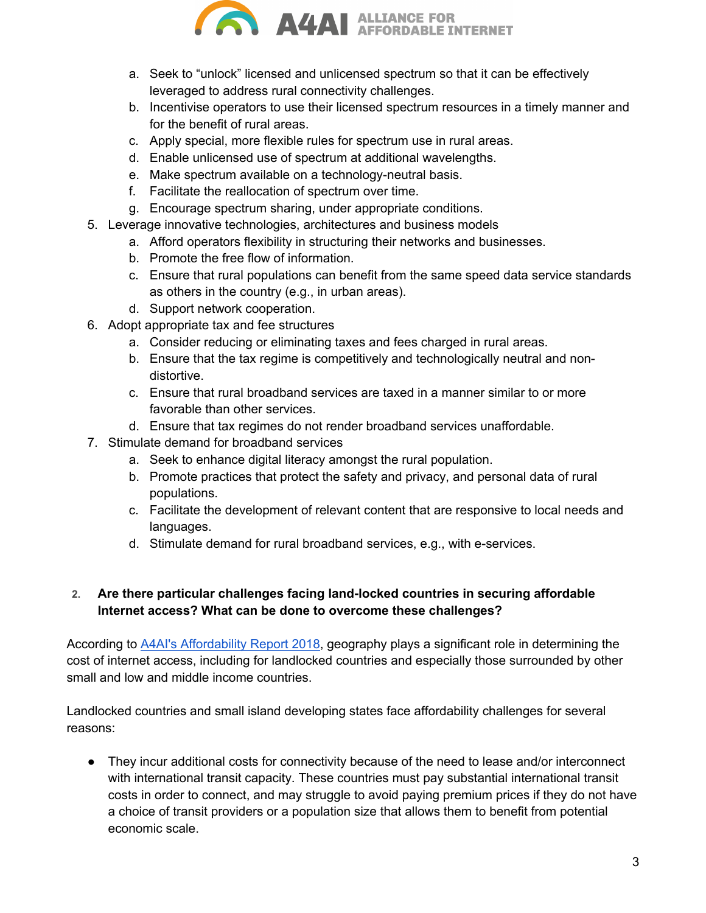

- a. Seek to "unlock" licensed and unlicensed spectrum so that it can be effectively leveraged to address rural connectivity challenges.
- b. Incentivise operators to use their licensed spectrum resources in a timely manner and for the benefit of rural areas.
- c. Apply special, more flexible rules for spectrum use in rural areas.
- d. Enable unlicensed use of spectrum at additional wavelengths.
- e. Make spectrum available on a technology-neutral basis.
- f. Facilitate the reallocation of spectrum over time.
- g. Encourage spectrum sharing, under appropriate conditions.
- 5. Leverage innovative technologies, architectures and business models
	- a. Afford operators flexibility in structuring their networks and businesses.
	- b. Promote the free flow of information.
	- c. Ensure that rural populations can benefit from the same speed data service standards as others in the country (e.g., in urban areas).
	- d. Support network cooperation.
- 6. Adopt appropriate tax and fee structures
	- a. Consider reducing or eliminating taxes and fees charged in rural areas.
	- b. Ensure that the tax regime is competitively and technologically neutral and nondistortive.
	- c. Ensure that rural broadband services are taxed in a manner similar to or more favorable than other services.
	- d. Ensure that tax regimes do not render broadband services unaffordable.
- 7. Stimulate demand for broadband services
	- a. Seek to enhance digital literacy amongst the rural population.
	- b. Promote practices that protect the safety and privacy, and personal data of rural populations.
	- c. Facilitate the development of relevant content that are responsive to local needs and languages.
	- d. Stimulate demand for rural broadband services, e.g., with e-services.

## **2. Are there particular challenges facing land-locked countries in securing affordable Internet access? What can be done to overcome these challenges?**

According to A4AI's Affordability Report 2018, geography plays a significant role in determining the cost of internet access, including for landlocked countries and especially those surrounded by other small and low and middle income countries.

Landlocked countries and small island developing states face affordability challenges for several reasons:

● They incur additional costs for connectivity because of the need to lease and/or interconnect with international transit capacity. These countries must pay substantial international transit costs in order to connect, and may struggle to avoid paying premium prices if they do not have a choice of transit providers or a population size that allows them to benefit from potential economic scale.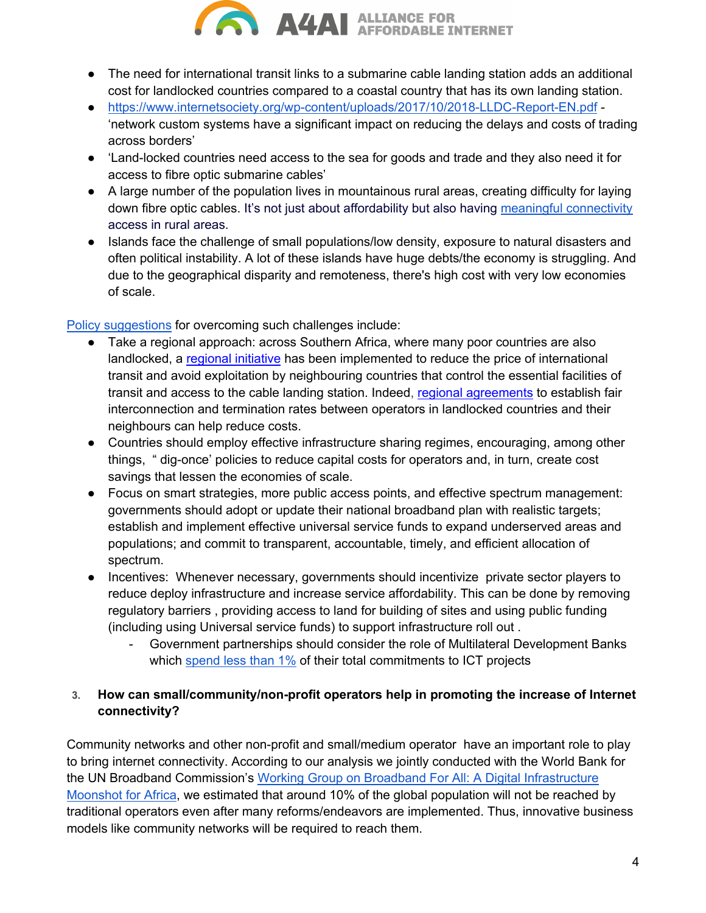

- The need for international transit links to a submarine cable landing station adds an additional cost for landlocked countries compared to a coastal country that has its own landing station.
- https://www.internetsociety.org/wp-content/uploads/2017/10/2018-LLDC-Report-EN.pdf 'network custom systems have a significant impact on reducing the delays and costs of trading across borders'
- 'Land-locked countries need access to the sea for goods and trade and they also need it for access to fibre optic submarine cables'
- A large number of the population lives in mountainous rural areas, creating difficulty for laying down fibre optic cables. It's not just about affordability but also having meaningful connectivity access in rural areas.
- Islands face the challenge of small populations/low density, exposure to natural disasters and often political instability. A lot of these islands have huge debts/the economy is struggling. And due to the geographical disparity and remoteness, there's high cost with very low economies of scale.

Policy suggestions for overcoming such challenges include:

- Take a regional approach: across Southern Africa, where many poor countries are also landlocked, a regional initiative has been implemented to reduce the price of international transit and avoid exploitation by neighbouring countries that control the essential facilities of transit and access to the cable landing station. Indeed, regional agreements to establish fair interconnection and termination rates between operators in landlocked countries and their neighbours can help reduce costs.
- Countries should employ effective infrastructure sharing regimes, encouraging, among other things, " dig-once' policies to reduce capital costs for operators and, in turn, create cost savings that lessen the economies of scale.
- Focus on smart strategies, more public access points, and effective spectrum management: governments should adopt or update their national broadband plan with realistic targets; establish and implement effective universal service funds to expand underserved areas and populations; and commit to transparent, accountable, timely, and efficient allocation of spectrum.
- Incentives: Whenever necessary, governments should incentivize private sector players to reduce deploy infrastructure and increase service affordability. This can be done by removing regulatory barriers , providing access to land for building of sites and using public funding (including using Universal service funds) to support infrastructure roll out .
	- Government partnerships should consider the role of Multilateral Development Banks which spend less than 1% of their total commitments to ICT projects

## **3. How can small/community/non-profit operators help in promoting the increase of Internet connectivity?**

Community networks and other non-profit and small/medium operator have an important role to play to bring internet connectivity. According to our analysis we jointly conducted with the World Bank for the UN Broadband Commission's Working Group on Broadband For All: A Digital Infrastructure Moonshot for Africa, we estimated that around 10% of the global population will not be reached by traditional operators even after many reforms/endeavors are implemented. Thus, innovative business models like community networks will be required to reach them.